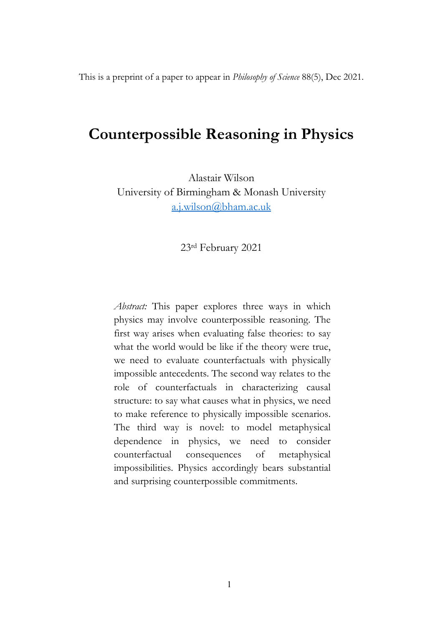This is a preprint of a paper to appear in *Philosophy of Science* 88(5), Dec 2021.

# **Counterpossible Reasoning in Physics**

Alastair Wilson University of Birmingham & Monash University a.j.wilson@bham.ac.uk

23rd February 2021

*Abstract:* This paper explores three ways in which physics may involve counterpossible reasoning. The first way arises when evaluating false theories: to say what the world would be like if the theory were true, we need to evaluate counterfactuals with physically impossible antecedents. The second way relates to the role of counterfactuals in characterizing causal structure: to say what causes what in physics, we need to make reference to physically impossible scenarios. The third way is novel: to model metaphysical dependence in physics, we need to consider counterfactual consequences of metaphysical impossibilities. Physics accordingly bears substantial and surprising counterpossible commitments.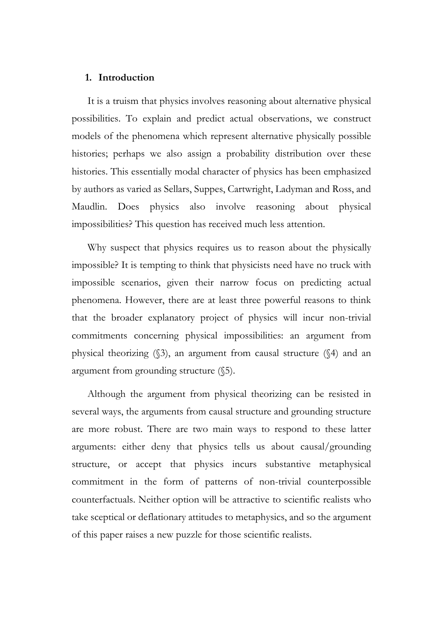# **1. Introduction**

It is a truism that physics involves reasoning about alternative physical possibilities. To explain and predict actual observations, we construct models of the phenomena which represent alternative physically possible histories; perhaps we also assign a probability distribution over these histories. This essentially modal character of physics has been emphasized by authors as varied as Sellars, Suppes, Cartwright, Ladyman and Ross, and Maudlin. Does physics also involve reasoning about physical impossibilities? This question has received much less attention.

Why suspect that physics requires us to reason about the physically impossible? It is tempting to think that physicists need have no truck with impossible scenarios, given their narrow focus on predicting actual phenomena. However, there are at least three powerful reasons to think that the broader explanatory project of physics will incur non-trivial commitments concerning physical impossibilities: an argument from physical theorizing (§3), an argument from causal structure (§4) and an argument from grounding structure (§5).

Although the argument from physical theorizing can be resisted in several ways, the arguments from causal structure and grounding structure are more robust. There are two main ways to respond to these latter arguments: either deny that physics tells us about causal/grounding structure, or accept that physics incurs substantive metaphysical commitment in the form of patterns of non-trivial counterpossible counterfactuals. Neither option will be attractive to scientific realists who take sceptical or deflationary attitudes to metaphysics, and so the argument of this paper raises a new puzzle for those scientific realists.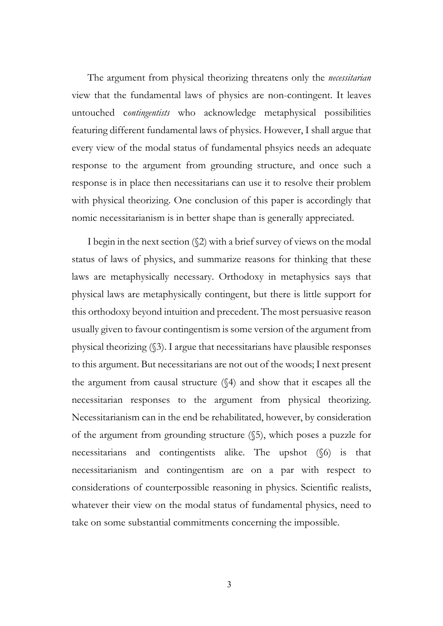The argument from physical theorizing threatens only the *necessitarian* view that the fundamental laws of physics are non-contingent. It leaves untouched c*ontingentists* who acknowledge metaphysical possibilities featuring different fundamental laws of physics. However, I shall argue that every view of the modal status of fundamental phsyics needs an adequate response to the argument from grounding structure, and once such a response is in place then necessitarians can use it to resolve their problem with physical theorizing. One conclusion of this paper is accordingly that nomic necessitarianism is in better shape than is generally appreciated.

I begin in the next section (§2) with a brief survey of views on the modal status of laws of physics, and summarize reasons for thinking that these laws are metaphysically necessary. Orthodoxy in metaphysics says that physical laws are metaphysically contingent, but there is little support for this orthodoxy beyond intuition and precedent. The most persuasive reason usually given to favour contingentism is some version of the argument from physical theorizing (§3). I argue that necessitarians have plausible responses to this argument. But necessitarians are not out of the woods; I next present the argument from causal structure (§4) and show that it escapes all the necessitarian responses to the argument from physical theorizing. Necessitarianism can in the end be rehabilitated, however, by consideration of the argument from grounding structure (§5), which poses a puzzle for necessitarians and contingentists alike. The upshot (§6) is that necessitarianism and contingentism are on a par with respect to considerations of counterpossible reasoning in physics. Scientific realists, whatever their view on the modal status of fundamental physics, need to take on some substantial commitments concerning the impossible.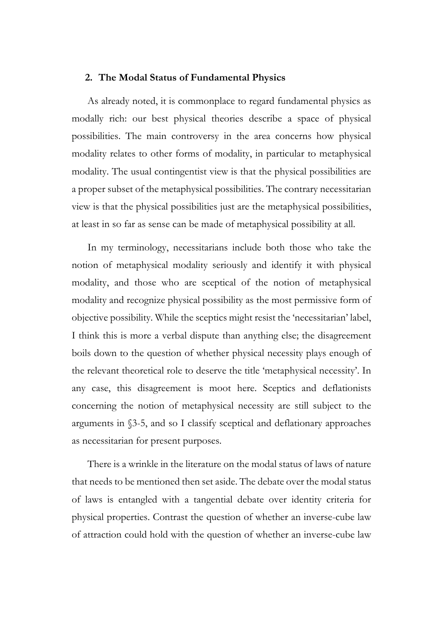# **2. The Modal Status of Fundamental Physics**

As already noted, it is commonplace to regard fundamental physics as modally rich: our best physical theories describe a space of physical possibilities. The main controversy in the area concerns how physical modality relates to other forms of modality, in particular to metaphysical modality. The usual contingentist view is that the physical possibilities are a proper subset of the metaphysical possibilities. The contrary necessitarian view is that the physical possibilities just are the metaphysical possibilities, at least in so far as sense can be made of metaphysical possibility at all.

In my terminology, necessitarians include both those who take the notion of metaphysical modality seriously and identify it with physical modality, and those who are sceptical of the notion of metaphysical modality and recognize physical possibility as the most permissive form of objective possibility. While the sceptics might resist the 'necessitarian' label, I think this is more a verbal dispute than anything else; the disagreement boils down to the question of whether physical necessity plays enough of the relevant theoretical role to deserve the title 'metaphysical necessity'. In any case, this disagreement is moot here. Sceptics and deflationists concerning the notion of metaphysical necessity are still subject to the arguments in §3-5, and so I classify sceptical and deflationary approaches as necessitarian for present purposes.

There is a wrinkle in the literature on the modal status of laws of nature that needs to be mentioned then set aside. The debate over the modal status of laws is entangled with a tangential debate over identity criteria for physical properties. Contrast the question of whether an inverse-cube law of attraction could hold with the question of whether an inverse-cube law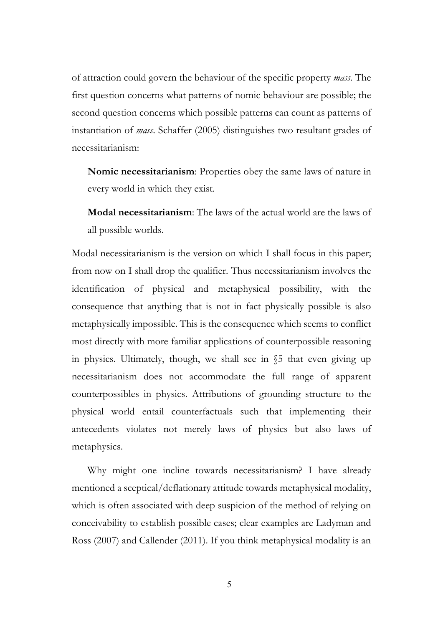of attraction could govern the behaviour of the specific property *mass*. The first question concerns what patterns of nomic behaviour are possible; the second question concerns which possible patterns can count as patterns of instantiation of *mass*. Schaffer (2005) distinguishes two resultant grades of necessitarianism:

**Nomic necessitarianism**: Properties obey the same laws of nature in every world in which they exist.

**Modal necessitarianism**: The laws of the actual world are the laws of all possible worlds.

Modal necessitarianism is the version on which I shall focus in this paper; from now on I shall drop the qualifier. Thus necessitarianism involves the identification of physical and metaphysical possibility, with the consequence that anything that is not in fact physically possible is also metaphysically impossible. This is the consequence which seems to conflict most directly with more familiar applications of counterpossible reasoning in physics. Ultimately, though, we shall see in §5 that even giving up necessitarianism does not accommodate the full range of apparent counterpossibles in physics. Attributions of grounding structure to the physical world entail counterfactuals such that implementing their antecedents violates not merely laws of physics but also laws of metaphysics.

Why might one incline towards necessitarianism? I have already mentioned a sceptical/deflationary attitude towards metaphysical modality, which is often associated with deep suspicion of the method of relying on conceivability to establish possible cases; clear examples are Ladyman and Ross (2007) and Callender (2011). If you think metaphysical modality is an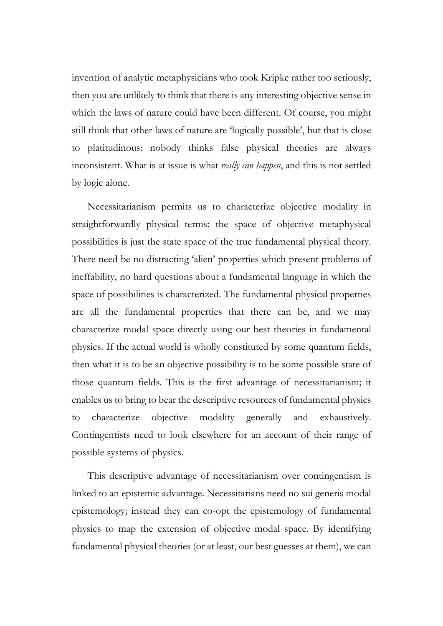invention of analytic metaphysicians who took Kripke rather too seriously, then you are unlikely to think that there is any interesting objective sense in which the laws of nature could have been different. Of course, you might still think that other laws of nature are 'logically possible', but that is close to platitudinous: nobody thinks false physical theories are always inconsistent. What is at issue is what *really can happen*, and this is not settled by logic alone.

Necessitarianism permits us to characterize objective modality in straightforwardly physical terms: the space of objective metaphysical possibilities is just the state space of the true fundamental physical theory. There need be no distracting 'alien' properties which present problems of ineffability, no hard questions about a fundamental language in which the space of possibilities is characterized. The fundamental physical properties are all the fundamental properties that there can be, and we may characterize modal space directly using our best theories in fundamental physics. If the actual world is wholly constituted by some quantum fields, then what it is to be an objective possibility is to be some possible state of those quantum fields. This is the first advantage of necessitarianism; it enables us to bring to bear the descriptive resources of fundamental physics to characterize objective modality generally and exhaustively. Contingentists need to look elsewhere for an account of their range of possible systems of physics.

This descriptive advantage of necessitarianism over contingentism is linked to an epistemic advantage. Necessitarians need no sui generis modal epistemology; instead they can co-opt the epistemology of fundamental physics to map the extension of objective modal space. By identifying fundamental physical theories (or at least, our best guesses at them), we can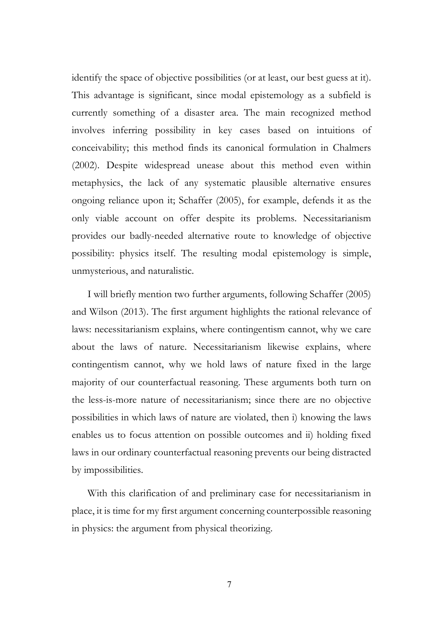identify the space of objective possibilities (or at least, our best guess at it). This advantage is significant, since modal epistemology as a subfield is currently something of a disaster area. The main recognized method involves inferring possibility in key cases based on intuitions of conceivability; this method finds its canonical formulation in Chalmers (2002). Despite widespread unease about this method even within metaphysics, the lack of any systematic plausible alternative ensures ongoing reliance upon it; Schaffer (2005), for example, defends it as the only viable account on offer despite its problems. Necessitarianism provides our badly-needed alternative route to knowledge of objective possibility: physics itself. The resulting modal epistemology is simple, unmysterious, and naturalistic.

I will briefly mention two further arguments, following Schaffer (2005) and Wilson (2013). The first argument highlights the rational relevance of laws: necessitarianism explains, where contingentism cannot, why we care about the laws of nature. Necessitarianism likewise explains, where contingentism cannot, why we hold laws of nature fixed in the large majority of our counterfactual reasoning. These arguments both turn on the less-is-more nature of necessitarianism; since there are no objective possibilities in which laws of nature are violated, then i) knowing the laws enables us to focus attention on possible outcomes and ii) holding fixed laws in our ordinary counterfactual reasoning prevents our being distracted by impossibilities.

With this clarification of and preliminary case for necessitarianism in place, it is time for my first argument concerning counterpossible reasoning in physics: the argument from physical theorizing.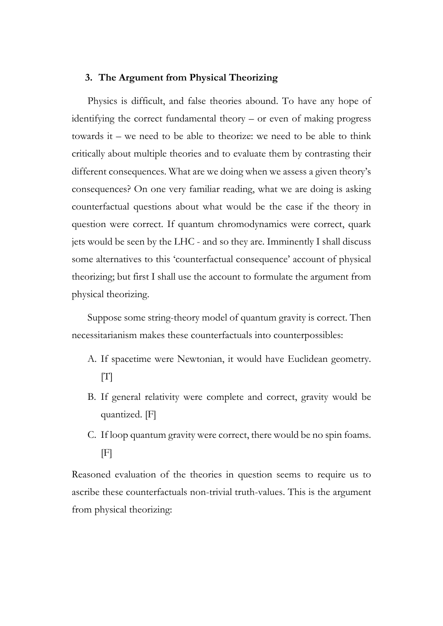# **3. The Argument from Physical Theorizing**

Physics is difficult, and false theories abound. To have any hope of identifying the correct fundamental theory – or even of making progress towards it – we need to be able to theorize: we need to be able to think critically about multiple theories and to evaluate them by contrasting their different consequences. What are we doing when we assess a given theory's consequences? On one very familiar reading, what we are doing is asking counterfactual questions about what would be the case if the theory in question were correct. If quantum chromodynamics were correct, quark jets would be seen by the LHC - and so they are. Imminently I shall discuss some alternatives to this 'counterfactual consequence' account of physical theorizing; but first I shall use the account to formulate the argument from physical theorizing.

Suppose some string-theory model of quantum gravity is correct. Then necessitarianism makes these counterfactuals into counterpossibles:

- A. If spacetime were Newtonian, it would have Euclidean geometry.  $|T|$
- B. If general relativity were complete and correct, gravity would be quantized. [F]
- C. If loop quantum gravity were correct, there would be no spin foams.  $[F]$

Reasoned evaluation of the theories in question seems to require us to ascribe these counterfactuals non-trivial truth-values. This is the argument from physical theorizing: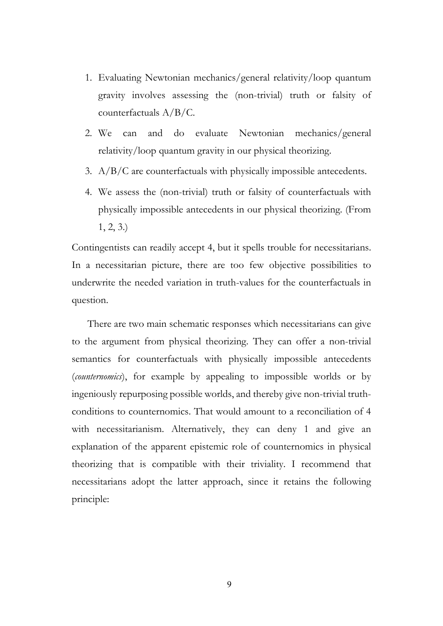- 1. Evaluating Newtonian mechanics/general relativity/loop quantum gravity involves assessing the (non-trivial) truth or falsity of counterfactuals A/B/C.
- 2. We can and do evaluate Newtonian mechanics/general relativity/loop quantum gravity in our physical theorizing.
- 3. A/B/C are counterfactuals with physically impossible antecedents.
- 4. We assess the (non-trivial) truth or falsity of counterfactuals with physically impossible antecedents in our physical theorizing. (From 1, 2, 3.)

Contingentists can readily accept 4, but it spells trouble for necessitarians. In a necessitarian picture, there are too few objective possibilities to underwrite the needed variation in truth-values for the counterfactuals in question.

There are two main schematic responses which necessitarians can give to the argument from physical theorizing. They can offer a non-trivial semantics for counterfactuals with physically impossible antecedents (*counternomics*), for example by appealing to impossible worlds or by ingeniously repurposing possible worlds, and thereby give non-trivial truthconditions to counternomics. That would amount to a reconciliation of 4 with necessitarianism. Alternatively, they can deny 1 and give an explanation of the apparent epistemic role of counternomics in physical theorizing that is compatible with their triviality. I recommend that necessitarians adopt the latter approach, since it retains the following principle: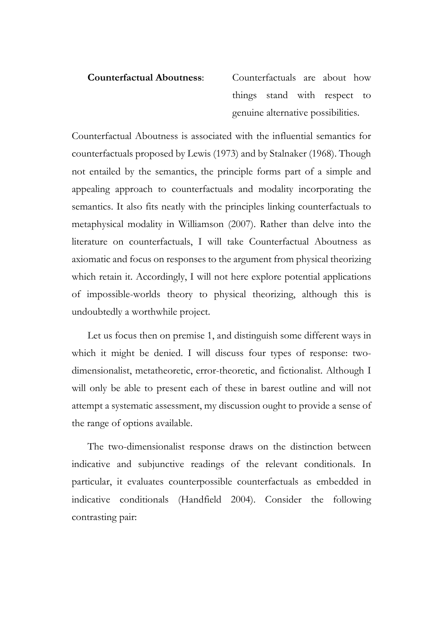**Counterfactual Aboutness**: Counterfactuals are about how things stand with respect to genuine alternative possibilities.

Counterfactual Aboutness is associated with the influential semantics for counterfactuals proposed by Lewis (1973) and by Stalnaker (1968). Though not entailed by the semantics, the principle forms part of a simple and appealing approach to counterfactuals and modality incorporating the semantics. It also fits neatly with the principles linking counterfactuals to metaphysical modality in Williamson (2007). Rather than delve into the literature on counterfactuals, I will take Counterfactual Aboutness as axiomatic and focus on responses to the argument from physical theorizing which retain it. Accordingly, I will not here explore potential applications of impossible-worlds theory to physical theorizing, although this is undoubtedly a worthwhile project.

Let us focus then on premise 1, and distinguish some different ways in which it might be denied. I will discuss four types of response: twodimensionalist, metatheoretic, error-theoretic, and fictionalist. Although I will only be able to present each of these in barest outline and will not attempt a systematic assessment, my discussion ought to provide a sense of the range of options available.

The two-dimensionalist response draws on the distinction between indicative and subjunctive readings of the relevant conditionals. In particular, it evaluates counterpossible counterfactuals as embedded in indicative conditionals (Handfield 2004). Consider the following contrasting pair: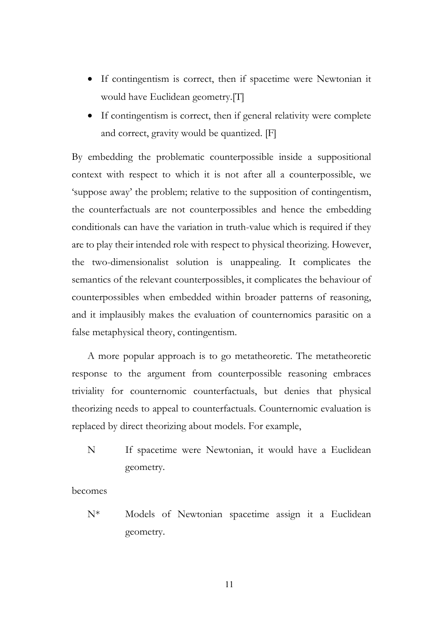- If contingentism is correct, then if spacetime were Newtonian it would have Euclidean geometry.[T]
- If contingentism is correct, then if general relativity were complete and correct, gravity would be quantized. [F]

By embedding the problematic counterpossible inside a suppositional context with respect to which it is not after all a counterpossible, we 'suppose away' the problem; relative to the supposition of contingentism, the counterfactuals are not counterpossibles and hence the embedding conditionals can have the variation in truth-value which is required if they are to play their intended role with respect to physical theorizing. However, the two-dimensionalist solution is unappealing. It complicates the semantics of the relevant counterpossibles, it complicates the behaviour of counterpossibles when embedded within broader patterns of reasoning, and it implausibly makes the evaluation of counternomics parasitic on a false metaphysical theory, contingentism.

A more popular approach is to go metatheoretic. The metatheoretic response to the argument from counterpossible reasoning embraces triviality for counternomic counterfactuals, but denies that physical theorizing needs to appeal to counterfactuals. Counternomic evaluation is replaced by direct theorizing about models. For example,

N If spacetime were Newtonian, it would have a Euclidean geometry.

becomes

N\* Models of Newtonian spacetime assign it a Euclidean geometry.

11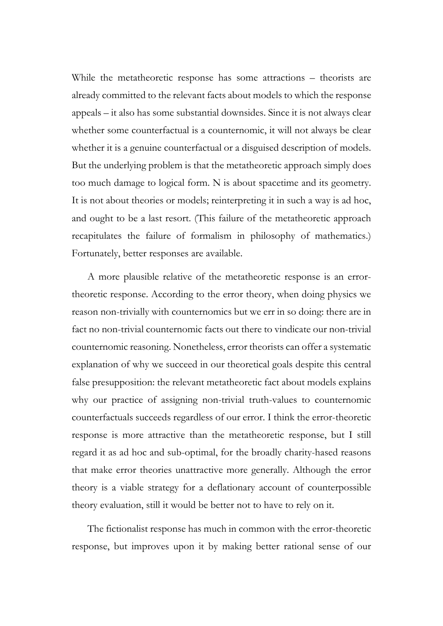While the metatheoretic response has some attractions – theorists are already committed to the relevant facts about models to which the response appeals – it also has some substantial downsides. Since it is not always clear whether some counterfactual is a counternomic, it will not always be clear whether it is a genuine counterfactual or a disguised description of models. But the underlying problem is that the metatheoretic approach simply does too much damage to logical form. N is about spacetime and its geometry. It is not about theories or models; reinterpreting it in such a way is ad hoc, and ought to be a last resort. (This failure of the metatheoretic approach recapitulates the failure of formalism in philosophy of mathematics.) Fortunately, better responses are available.

A more plausible relative of the metatheoretic response is an errortheoretic response. According to the error theory, when doing physics we reason non-trivially with counternomics but we err in so doing: there are in fact no non-trivial counternomic facts out there to vindicate our non-trivial counternomic reasoning. Nonetheless, error theorists can offer a systematic explanation of why we succeed in our theoretical goals despite this central false presupposition: the relevant metatheoretic fact about models explains why our practice of assigning non-trivial truth-values to counternomic counterfactuals succeeds regardless of our error. I think the error-theoretic response is more attractive than the metatheoretic response, but I still regard it as ad hoc and sub-optimal, for the broadly charity-hased reasons that make error theories unattractive more generally. Although the error theory is a viable strategy for a deflationary account of counterpossible theory evaluation, still it would be better not to have to rely on it.

The fictionalist response has much in common with the error-theoretic response, but improves upon it by making better rational sense of our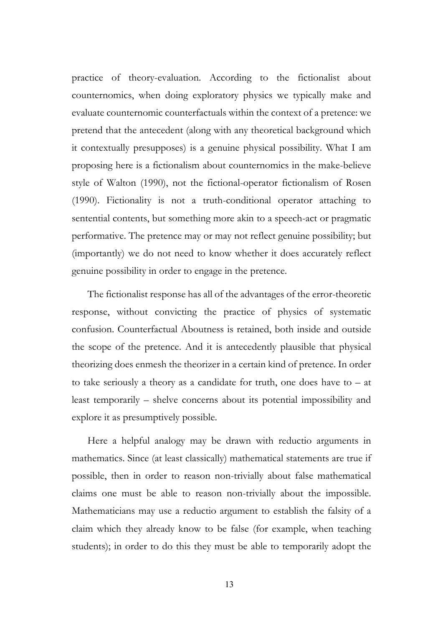practice of theory-evaluation. According to the fictionalist about counternomics, when doing exploratory physics we typically make and evaluate counternomic counterfactuals within the context of a pretence: we pretend that the antecedent (along with any theoretical background which it contextually presupposes) is a genuine physical possibility. What I am proposing here is a fictionalism about counternomics in the make-believe style of Walton (1990), not the fictional-operator fictionalism of Rosen (1990). Fictionality is not a truth-conditional operator attaching to sentential contents, but something more akin to a speech-act or pragmatic performative. The pretence may or may not reflect genuine possibility; but (importantly) we do not need to know whether it does accurately reflect genuine possibility in order to engage in the pretence.

The fictionalist response has all of the advantages of the error-theoretic response, without convicting the practice of physics of systematic confusion. Counterfactual Aboutness is retained, both inside and outside the scope of the pretence. And it is antecedently plausible that physical theorizing does enmesh the theorizer in a certain kind of pretence. In order to take seriously a theory as a candidate for truth, one does have to – at least temporarily – shelve concerns about its potential impossibility and explore it as presumptively possible.

Here a helpful analogy may be drawn with reductio arguments in mathematics. Since (at least classically) mathematical statements are true if possible, then in order to reason non-trivially about false mathematical claims one must be able to reason non-trivially about the impossible. Mathematicians may use a reductio argument to establish the falsity of a claim which they already know to be false (for example, when teaching students); in order to do this they must be able to temporarily adopt the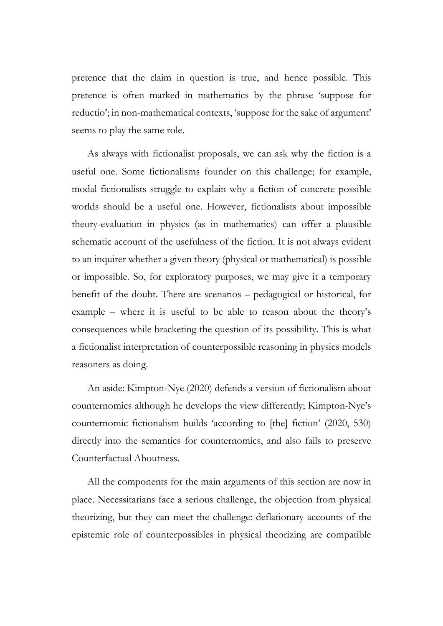pretence that the claim in question is true, and hence possible. This pretence is often marked in mathematics by the phrase 'suppose for reductio'; in non-mathematical contexts, 'suppose for the sake of argument' seems to play the same role.

As always with fictionalist proposals, we can ask why the fiction is a useful one. Some fictionalisms founder on this challenge; for example, modal fictionalists struggle to explain why a fiction of concrete possible worlds should be a useful one. However, fictionalists about impossible theory-evaluation in physics (as in mathematics) can offer a plausible schematic account of the usefulness of the fiction. It is not always evident to an inquirer whether a given theory (physical or mathematical) is possible or impossible. So, for exploratory purposes, we may give it a temporary benefit of the doubt. There are scenarios – pedagogical or historical, for example – where it is useful to be able to reason about the theory's consequences while bracketing the question of its possibility. This is what a fictionalist interpretation of counterpossible reasoning in physics models reasoners as doing.

An aside: Kimpton-Nye (2020) defends a version of fictionalism about counternomics although he develops the view differently; Kimpton-Nye's counternomic fictionalism builds 'according to [the] fiction' (2020, 530) directly into the semantics for counternomics, and also fails to preserve Counterfactual Aboutness.

All the components for the main arguments of this section are now in place. Necessitarians face a serious challenge, the objection from physical theorizing, but they can meet the challenge: deflationary accounts of the epistemic role of counterpossibles in physical theorizing are compatible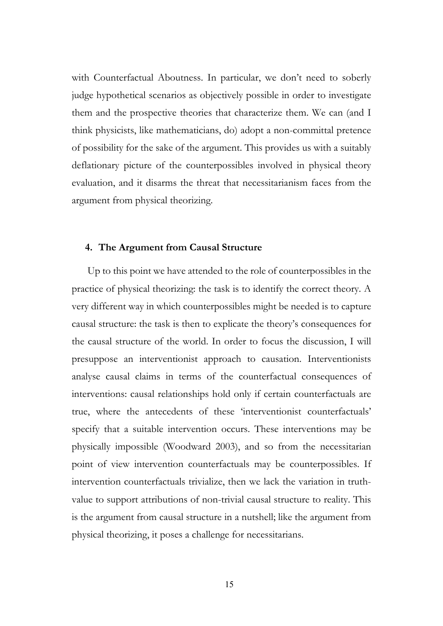with Counterfactual Aboutness. In particular, we don't need to soberly judge hypothetical scenarios as objectively possible in order to investigate them and the prospective theories that characterize them. We can (and I think physicists, like mathematicians, do) adopt a non-committal pretence of possibility for the sake of the argument. This provides us with a suitably deflationary picture of the counterpossibles involved in physical theory evaluation, and it disarms the threat that necessitarianism faces from the argument from physical theorizing.

# **4. The Argument from Causal Structure**

Up to this point we have attended to the role of counterpossibles in the practice of physical theorizing: the task is to identify the correct theory. A very different way in which counterpossibles might be needed is to capture causal structure: the task is then to explicate the theory's consequences for the causal structure of the world. In order to focus the discussion, I will presuppose an interventionist approach to causation. Interventionists analyse causal claims in terms of the counterfactual consequences of interventions: causal relationships hold only if certain counterfactuals are true, where the antecedents of these 'interventionist counterfactuals' specify that a suitable intervention occurs. These interventions may be physically impossible (Woodward 2003), and so from the necessitarian point of view intervention counterfactuals may be counterpossibles. If intervention counterfactuals trivialize, then we lack the variation in truthvalue to support attributions of non-trivial causal structure to reality. This is the argument from causal structure in a nutshell; like the argument from physical theorizing, it poses a challenge for necessitarians.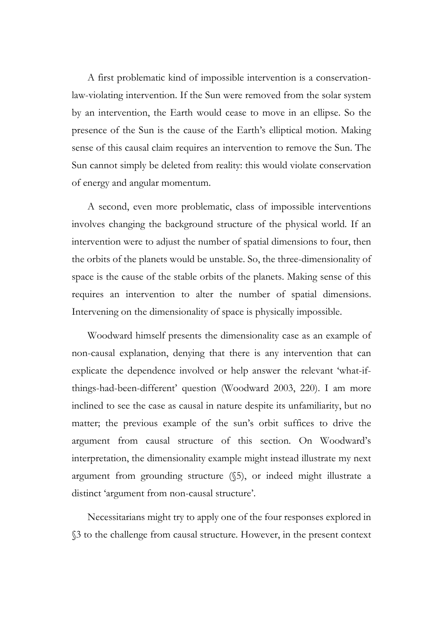A first problematic kind of impossible intervention is a conservationlaw-violating intervention. If the Sun were removed from the solar system by an intervention, the Earth would cease to move in an ellipse. So the presence of the Sun is the cause of the Earth's elliptical motion. Making sense of this causal claim requires an intervention to remove the Sun. The Sun cannot simply be deleted from reality: this would violate conservation of energy and angular momentum.

A second, even more problematic, class of impossible interventions involves changing the background structure of the physical world. If an intervention were to adjust the number of spatial dimensions to four, then the orbits of the planets would be unstable. So, the three-dimensionality of space is the cause of the stable orbits of the planets. Making sense of this requires an intervention to alter the number of spatial dimensions. Intervening on the dimensionality of space is physically impossible.

Woodward himself presents the dimensionality case as an example of non-causal explanation, denying that there is any intervention that can explicate the dependence involved or help answer the relevant 'what-ifthings-had-been-different' question (Woodward 2003, 220). I am more inclined to see the case as causal in nature despite its unfamiliarity, but no matter; the previous example of the sun's orbit suffices to drive the argument from causal structure of this section. On Woodward's interpretation, the dimensionality example might instead illustrate my next argument from grounding structure (§5), or indeed might illustrate a distinct 'argument from non-causal structure'.

Necessitarians might try to apply one of the four responses explored in §3 to the challenge from causal structure. However, in the present context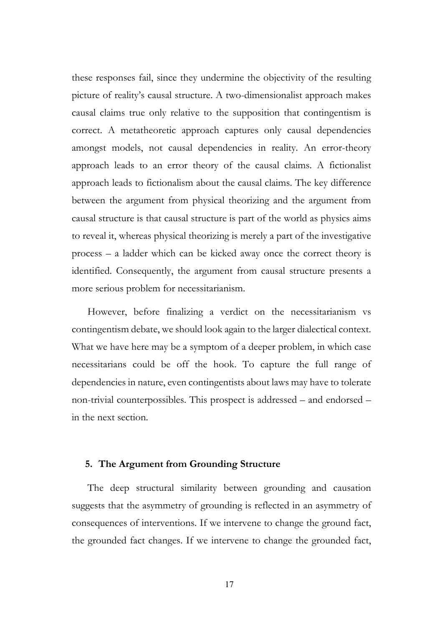these responses fail, since they undermine the objectivity of the resulting picture of reality's causal structure. A two-dimensionalist approach makes causal claims true only relative to the supposition that contingentism is correct. A metatheoretic approach captures only causal dependencies amongst models, not causal dependencies in reality. An error-theory approach leads to an error theory of the causal claims. A fictionalist approach leads to fictionalism about the causal claims. The key difference between the argument from physical theorizing and the argument from causal structure is that causal structure is part of the world as physics aims to reveal it, whereas physical theorizing is merely a part of the investigative process – a ladder which can be kicked away once the correct theory is identified. Consequently, the argument from causal structure presents a more serious problem for necessitarianism.

However, before finalizing a verdict on the necessitarianism vs contingentism debate, we should look again to the larger dialectical context. What we have here may be a symptom of a deeper problem, in which case necessitarians could be off the hook. To capture the full range of dependencies in nature, even contingentists about laws may have to tolerate non-trivial counterpossibles. This prospect is addressed – and endorsed – in the next section.

# **5. The Argument from Grounding Structure**

The deep structural similarity between grounding and causation suggests that the asymmetry of grounding is reflected in an asymmetry of consequences of interventions. If we intervene to change the ground fact, the grounded fact changes. If we intervene to change the grounded fact,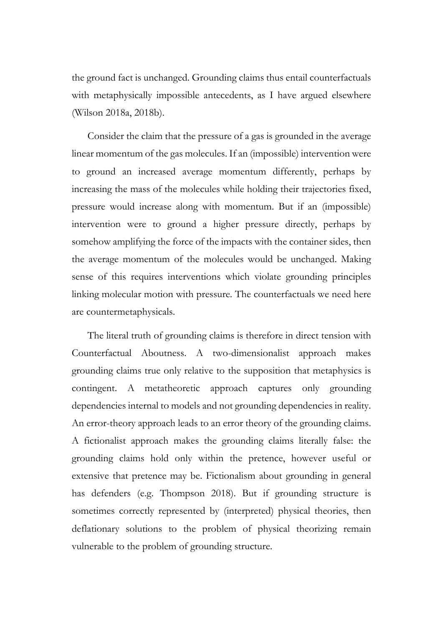the ground fact is unchanged. Grounding claims thus entail counterfactuals with metaphysically impossible antecedents, as I have argued elsewhere (Wilson 2018a, 2018b).

Consider the claim that the pressure of a gas is grounded in the average linear momentum of the gas molecules. If an (impossible) intervention were to ground an increased average momentum differently, perhaps by increasing the mass of the molecules while holding their trajectories fixed, pressure would increase along with momentum. But if an (impossible) intervention were to ground a higher pressure directly, perhaps by somehow amplifying the force of the impacts with the container sides, then the average momentum of the molecules would be unchanged. Making sense of this requires interventions which violate grounding principles linking molecular motion with pressure. The counterfactuals we need here are countermetaphysicals.

The literal truth of grounding claims is therefore in direct tension with Counterfactual Aboutness. A two-dimensionalist approach makes grounding claims true only relative to the supposition that metaphysics is contingent. A metatheoretic approach captures only grounding dependencies internal to models and not grounding dependencies in reality. An error-theory approach leads to an error theory of the grounding claims. A fictionalist approach makes the grounding claims literally false: the grounding claims hold only within the pretence, however useful or extensive that pretence may be. Fictionalism about grounding in general has defenders (e.g. Thompson 2018). But if grounding structure is sometimes correctly represented by (interpreted) physical theories, then deflationary solutions to the problem of physical theorizing remain vulnerable to the problem of grounding structure.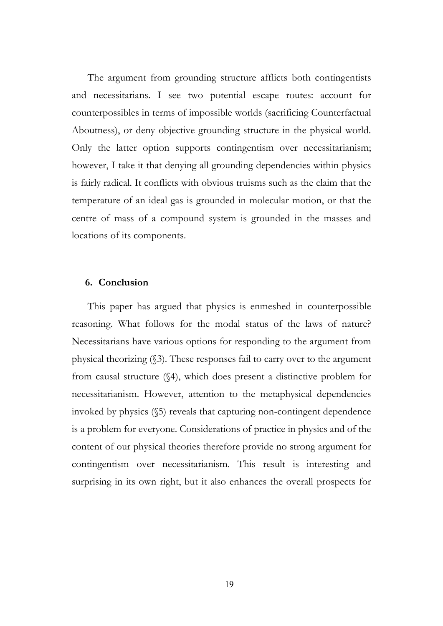The argument from grounding structure afflicts both contingentists and necessitarians. I see two potential escape routes: account for counterpossibles in terms of impossible worlds (sacrificing Counterfactual Aboutness), or deny objective grounding structure in the physical world. Only the latter option supports contingentism over necessitarianism; however, I take it that denying all grounding dependencies within physics is fairly radical. It conflicts with obvious truisms such as the claim that the temperature of an ideal gas is grounded in molecular motion, or that the centre of mass of a compound system is grounded in the masses and locations of its components.

# **6. Conclusion**

This paper has argued that physics is enmeshed in counterpossible reasoning. What follows for the modal status of the laws of nature? Necessitarians have various options for responding to the argument from physical theorizing (§3). These responses fail to carry over to the argument from causal structure (§4), which does present a distinctive problem for necessitarianism. However, attention to the metaphysical dependencies invoked by physics (§5) reveals that capturing non-contingent dependence is a problem for everyone. Considerations of practice in physics and of the content of our physical theories therefore provide no strong argument for contingentism over necessitarianism. This result is interesting and surprising in its own right, but it also enhances the overall prospects for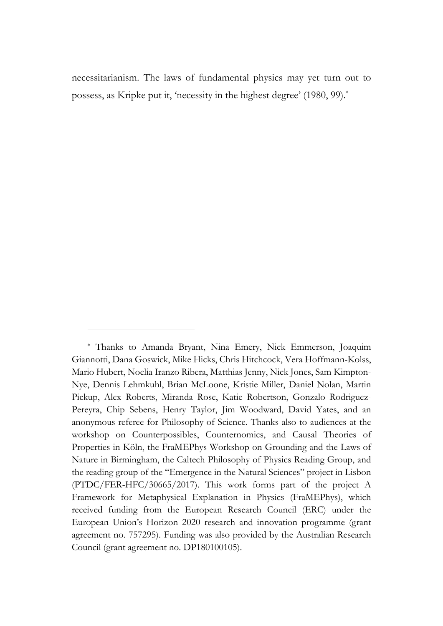necessitarianism. The laws of fundamental physics may yet turn out to possess, as Kripke put it, 'necessity in the highest degree' (1980, 99).\*

<sup>\*</sup> Thanks to Amanda Bryant, Nina Emery, Nick Emmerson, Joaquim Giannotti, Dana Goswick, Mike Hicks, Chris Hitchcock, Vera Hoffmann-Kolss, Mario Hubert, Noelia Iranzo Ribera, Matthias Jenny, Nick Jones, Sam Kimpton-Nye, Dennis Lehmkuhl, Brian McLoone, Kristie Miller, Daniel Nolan, Martin Pickup, Alex Roberts, Miranda Rose, Katie Robertson, Gonzalo Rodriguez-Pereyra, Chip Sebens, Henry Taylor, Jim Woodward, David Yates, and an anonymous referee for Philosophy of Science. Thanks also to audiences at the workshop on Counterpossibles, Counternomics, and Causal Theories of Properties in Köln, the FraMEPhys Workshop on Grounding and the Laws of Nature in Birmingham, the Caltech Philosophy of Physics Reading Group, and the reading group of the "Emergence in the Natural Sciences" project in Lisbon (PTDC/FER-HFC/30665/2017). This work forms part of the project A Framework for Metaphysical Explanation in Physics (FraMEPhys), which received funding from the European Research Council (ERC) under the European Union's Horizon 2020 research and innovation programme (grant agreement no. 757295). Funding was also provided by the Australian Research Council (grant agreement no. DP180100105).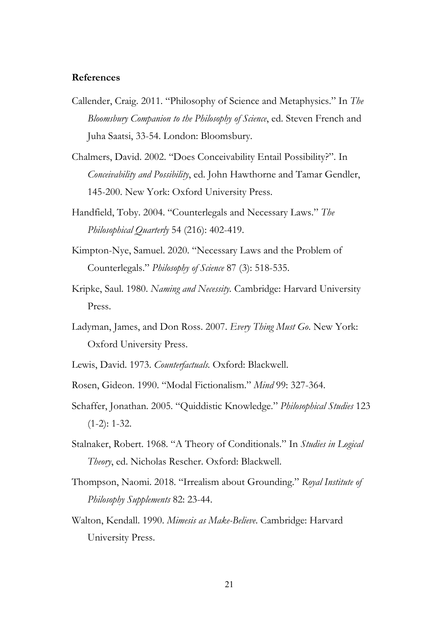# **References**

- Callender, Craig. 2011. "Philosophy of Science and Metaphysics." In *The Bloomsbury Companion to the Philosophy of Science*, ed. Steven French and Juha Saatsi, 33-54. London: Bloomsbury.
- Chalmers, David. 2002. "Does Conceivability Entail Possibility?". In *Conceivability and Possibility*, ed. John Hawthorne and Tamar Gendler, 145-200. New York: Oxford University Press.
- Handfield, Toby. 2004. "Counterlegals and Necessary Laws." *The Philosophical Quarterly* 54 (216): 402-419.
- Kimpton-Nye, Samuel. 2020. "Necessary Laws and the Problem of Counterlegals." *Philosophy of Science* 87 (3): 518-535.
- Kripke, Saul. 1980. *Naming and Necessity.* Cambridge: Harvard University Press.
- Ladyman, James, and Don Ross. 2007. *Every Thing Must Go*. New York: Oxford University Press.
- Lewis, David. 1973. *Counterfactuals.* Oxford: Blackwell.
- Rosen, Gideon. 1990. "Modal Fictionalism." *Mind* 99: 327-364.
- Schaffer, Jonathan. 2005. "Quiddistic Knowledge." *Philosophical Studies* 123  $(1-2)$ : 1-32.
- Stalnaker, Robert. 1968. "A Theory of Conditionals." In *Studies in Logical Theory*, ed. Nicholas Rescher. Oxford: Blackwell.
- Thompson, Naomi. 2018. "Irrealism about Grounding." *Royal Institute of Philosophy Supplements* 82: 23-44.
- Walton, Kendall. 1990. *Mimesis as Make-Believe*. Cambridge: Harvard University Press.